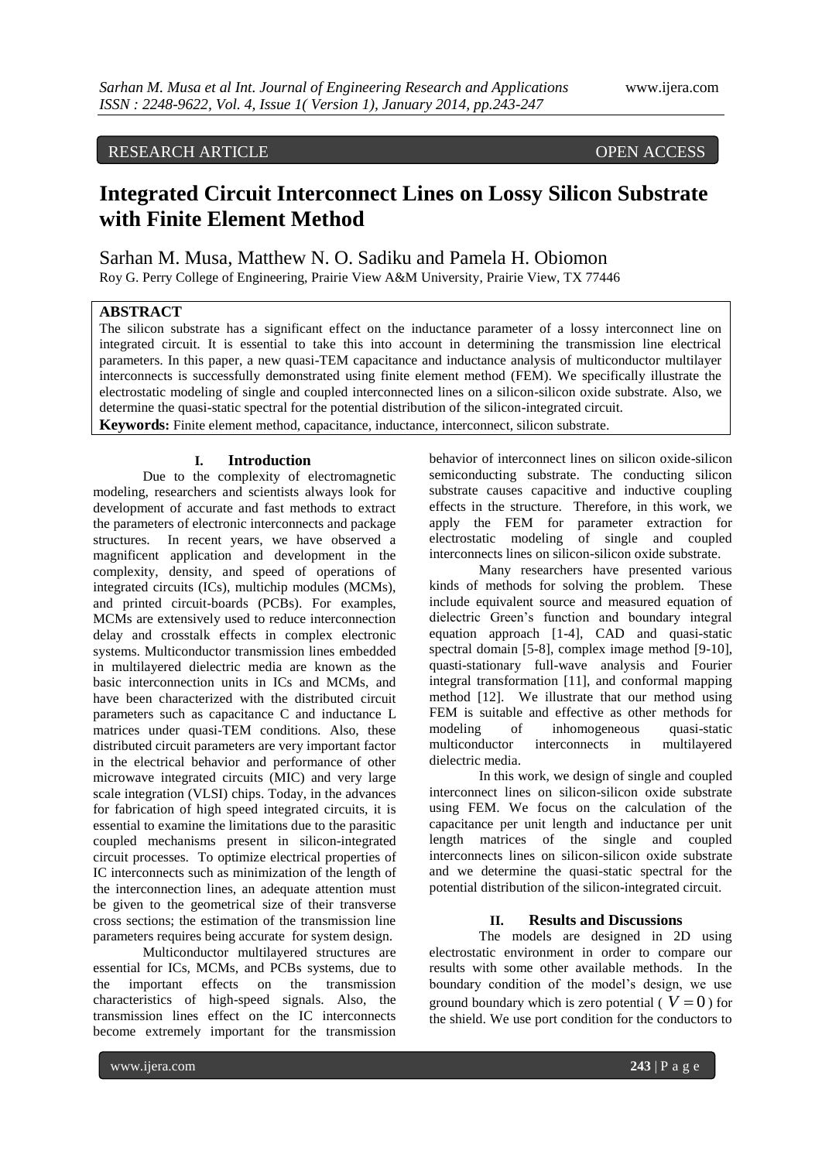# RESEARCH ARTICLE OPEN ACCESS

# **Integrated Circuit Interconnect Lines on Lossy Silicon Substrate with Finite Element Method**

Sarhan M. Musa, Matthew N. O. Sadiku and Pamela H. Obiomon Roy G. Perry College of Engineering, Prairie View A&M University, Prairie View, TX 77446

# **ABSTRACT**

The silicon substrate has a significant effect on the inductance parameter of a lossy interconnect line on integrated circuit. It is essential to take this into account in determining the transmission line electrical parameters. In this paper, a new quasi-TEM capacitance and inductance analysis of multiconductor multilayer interconnects is successfully demonstrated using finite element method (FEM). We specifically illustrate the electrostatic modeling of single and coupled interconnected lines on a silicon-silicon oxide substrate. Also, we determine the quasi-static spectral for the potential distribution of the silicon-integrated circuit. **Keywords:** Finite element method, capacitance, inductance, interconnect, silicon substrate.

### **I. Introduction**

Due to the complexity of electromagnetic modeling, researchers and scientists always look for development of accurate and fast methods to extract the parameters of electronic interconnects and package structures. In recent years, we have observed a magnificent application and development in the complexity, density, and speed of operations of integrated circuits (ICs), multichip modules (MCMs), and printed circuit-boards (PCBs). For examples, MCMs are extensively used to reduce interconnection delay and crosstalk effects in complex electronic systems. Multiconductor transmission lines embedded in multilayered dielectric media are known as the basic interconnection units in ICs and MCMs, and have been characterized with the distributed circuit parameters such as capacitance C and inductance L matrices under quasi-TEM conditions. Also, these distributed circuit parameters are very important factor in the electrical behavior and performance of other microwave integrated circuits (MIC) and very large scale integration (VLSI) chips. Today, in the advances for fabrication of high speed integrated circuits, it is essential to examine the limitations due to the parasitic coupled mechanisms present in silicon-integrated circuit processes. To optimize electrical properties of IC interconnects such as minimization of the length of the interconnection lines, an adequate attention must be given to the geometrical size of their transverse cross sections; the estimation of the transmission line parameters requires being accurate for system design.

Multiconductor multilayered structures are essential for ICs, MCMs, and PCBs systems, due to the important effects on the transmission characteristics of high-speed signals. Also, the transmission lines effect on the IC interconnects become extremely important for the transmission behavior of interconnect lines on silicon oxide-silicon semiconducting substrate. The conducting silicon substrate causes capacitive and inductive coupling effects in the structure. Therefore, in this work, we apply the FEM for parameter extraction for electrostatic modeling of single and coupled interconnects lines on silicon-silicon oxide substrate.

Many researchers have presented various kinds of methods for solving the problem. These include equivalent source and measured equation of dielectric Green's function and boundary integral equation approach [1-4], CAD and quasi-static spectral domain [5-8], complex image method [9-10], quasti-stationary full-wave analysis and Fourier integral transformation [11], and conformal mapping method [12]. We illustrate that our method using FEM is suitable and effective as other methods for modeling of inhomogeneous quasi-static multiconductor interconnects in multilayered dielectric media.

In this work, we design of single and coupled interconnect lines on silicon-silicon oxide substrate using FEM. We focus on the calculation of the capacitance per unit length and inductance per unit length matrices of the single and coupled interconnects lines on silicon-silicon oxide substrate and we determine the quasi-static spectral for the potential distribution of the silicon-integrated circuit.

## **II. Results and Discussions**

The models are designed in 2D using electrostatic environment in order to compare our results with some other available methods. In the boundary condition of the model's design, we use ground boundary which is zero potential ( $V = 0$ ) for the shield. We use port condition for the conductors to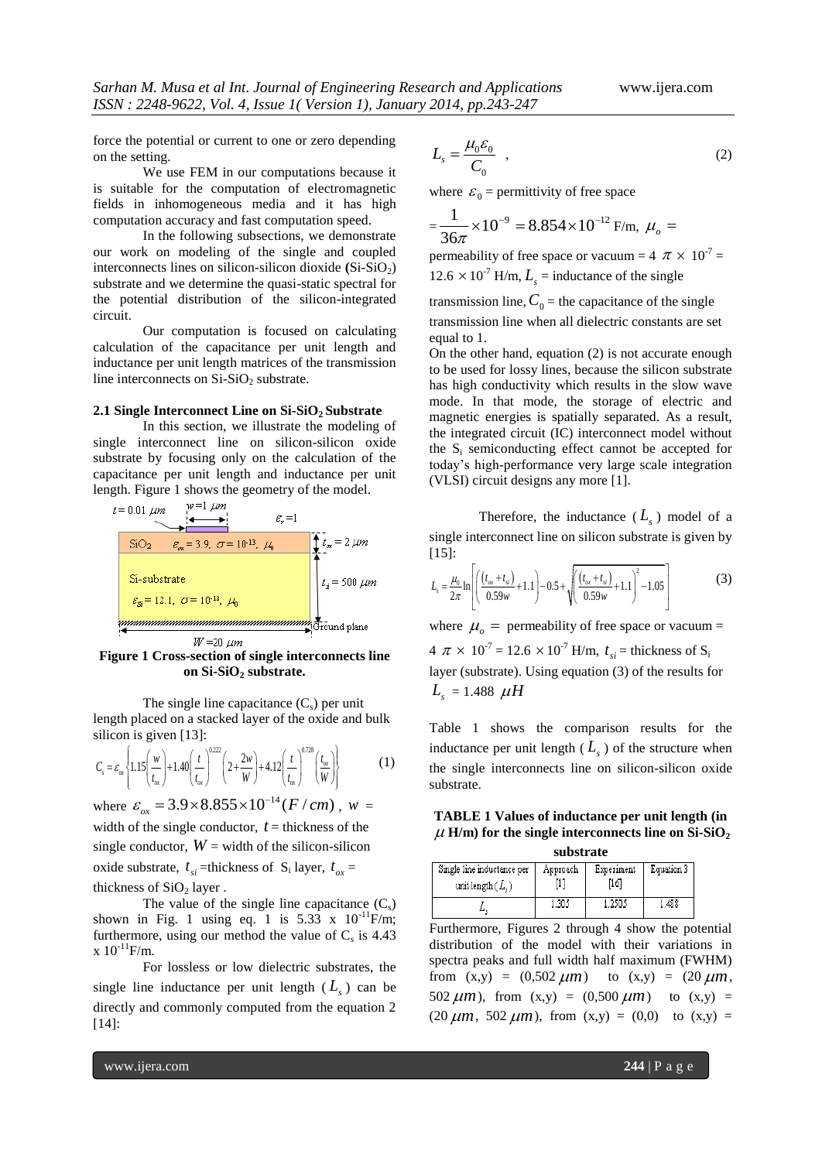force the potential or current to one or zero depending on the setting.

We use FEM in our computations because it is suitable for the computation of electromagnetic fields in inhomogeneous media and it has high computation accuracy and fast computation speed.

In the following subsections, we demonstrate our work on modeling of the single and coupled interconnects lines on silicon-silicon dioxide  $(Si-SiO<sub>2</sub>)$ substrate and we determine the quasi-static spectral for the potential distribution of the silicon-integrated circuit.

Our computation is focused on calculating calculation of the capacitance per unit length and inductance per unit length matrices of the transmission line interconnects on  $Si-SiO<sub>2</sub>$  substrate.

#### **2.1 Single Interconnect Line on Si-SiO2 Substrate**

In this section, we illustrate the modeling of single interconnect line on silicon-silicon oxide substrate by focusing only on the calculation of the capacitance per unit length and inductance per unit length. Figure 1 shows the geometry of the model.



**Figure 1 Cross-section of single interconnects line on Si-SiO<sup>2</sup> substrate.**

The single line capacitance  $(C_s)$  per unit length placed on a stacked layer of the oxide and bulk

silicon is given [13]:  
\n
$$
C_s = \varepsilon_{\alpha} \left\{ 1.15 \left( \frac{w}{t_{\alpha}} \right) + 1.40 \left( \frac{t}{t_{\alpha}} \right)^{0.222} \left( 2 + \frac{2w}{W} \right) + 4.12 \left( \frac{t}{t_{\alpha}} \right)^{0.728} \left( \frac{t_{\alpha}}{W} \right) \right\}
$$
\nwhere  $\varepsilon_{ox} = 3.9 \times 8.855 \times 10^{-14} (F/cm)$ ,  $w =$ 

width of the single conductor,  $t =$  thickness of the single conductor,  $W =$  width of the silicon-silicon oxide substrate,  $t_{si}$  =thickness of S<sub>i</sub> layer,  $t_{ox}$  = thickness of  $SiO<sub>2</sub>$  layer .

The value of the single line capacitance  $(C_s)$ shown in Fig. 1 using eq. 1 is  $5.33 \times 10^{-11}$ F/m; furthermore, using our method the value of  $C_s$  is 4.43  $x 10^{-11}$ F/m.

For lossless or low dielectric substrates, the single line inductance per unit length  $(L<sub>s</sub>)$  can be directly and commonly computed from the equation 2 [14]:

$$
L_s = \frac{\mu_0 \varepsilon_0}{C_0} \quad , \tag{2}
$$

where  $\varepsilon_0$  = permittivity of free space

$$
=\frac{1}{36\pi}\times 10^{-9}=8.854\times 10^{-12}\,\text{F/m},\ \mu_o=
$$

permeability of free space or vacuum =  $4 \pi \times 10^{-7}$  = 12.6  $\times$  10<sup>-7</sup> H/m,  $L_s$  = inductance of the single

transmission line,  $C_0$  = the capacitance of the single transmission line when all dielectric constants are set

equal to 1.

On the other hand, equation (2) is not accurate enough to be used for lossy lines, because the silicon substrate has high conductivity which results in the slow wave mode. In that mode, the storage of electric and magnetic energies is spatially separated. As a result, the integrated circuit (IC) interconnect model without the  $S_i$  semiconducting effect cannot be accepted for today's high-performance very large scale integration (VLSI) circuit designs any more [1].

Therefore, the inductance  $(L<sub>s</sub>)$  model of a single interconnect line on silicon substrate is given by  $[15]$ :

$$
\begin{bmatrix} 15 \end{bmatrix}: \qquad L_s = \frac{\mu_0}{2\pi} \ln \left[ \left( \frac{(t_{ox} + t_{si})}{0.59w} + 1.1 \right) - 0.5 + \sqrt{\left( \frac{(t_{ox} + t_{si})}{0.59w} + 1.1 \right)^2 - 1.05} \right]
$$
(3)

where  $\mu_o$  = permeability of free space or vacuum =  $4 \pi \times 10^{-7} = 12.6 \times 10^{-7}$  H/m,  $t_{si}$  = thickness of S<sub>i</sub> layer (substrate). Using equation (3) of the results for  $L_s = 1.488 \mu H$ 

Table 1 shows the comparison results for the inductance per unit length  $(L<sub>s</sub>)$  of the structure when the single interconnects line on silicon-silicon oxide substrate.

**TABLE 1 Values of inductance per unit length (in**   $\mu$  H/m) for the single interconnects line on Si-SiO<sub>2</sub> **substrate**

| substrate                  |          |            |            |  |
|----------------------------|----------|------------|------------|--|
| Single line inductance per | Approach | Experiment | Equation 3 |  |
| unit length $(L_*)$        |          | [16]       |            |  |
|                            | . 305    | 1.250.5    | . 488      |  |

Furthermore, Figures 2 through 4 show the potential distribution of the model with their variations in spectra peaks and full width half maximum (FWHM) from  $(x,y) = (0,502 \ \mu m)$  to  $(x,y) = (20 \ \mu m)$ , 502  $\mu$ m), from (x,y) = (0,500  $\mu$ m) to (x,y) =  $(20 \ \mu m, 502 \ \mu m)$ , from  $(x,y) = (0,0)$  to  $(x,y) =$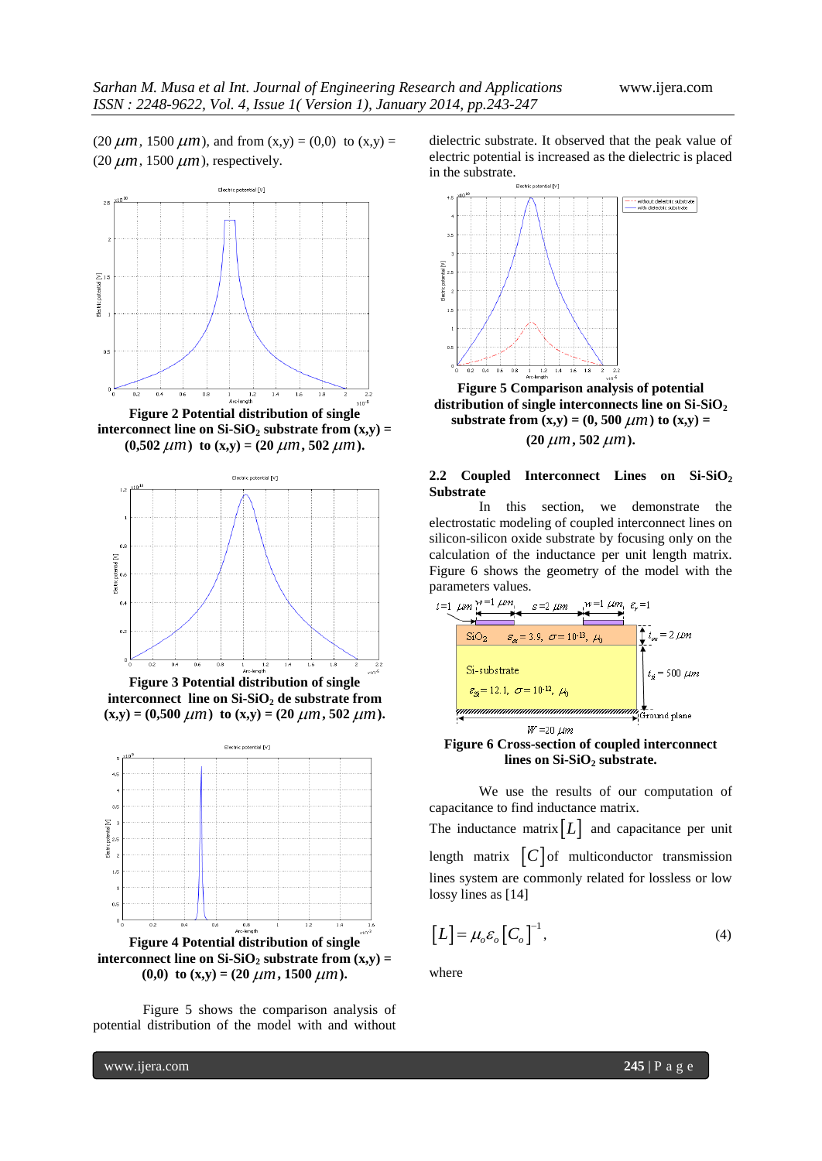$(20 \ \mu m, 1500 \ \mu m)$ , and from  $(x,y) = (0,0)$  to  $(x,y) =$  $(20 \ \mu m, 1500 \ \mu m)$ , respectively.



**Figure 2 Potential distribution of single interconnect line on Si-SiO<sub>2</sub> substrate from**  $(x,y)$  **=**  $(0,502 \ \mu m)$  to  $(x,y) = (20 \ \mu m, 502 \ \mu m)$ .



**Figure 3 Potential distribution of single interconnect line on Si-SiO<sup>2</sup> de substrate from**   $(\mathbf{x}, \mathbf{y}) = (0.500 \ \mu m)$  to  $(\mathbf{x}, \mathbf{y}) = (20 \ \mu m, 502 \ \mu m)$ .



Figure 5 shows the comparison analysis of potential distribution of the model with and without dielectric substrate. It observed that the peak value of electric potential is increased as the dielectric is placed in the substrate.



**Figure 5 Comparison analysis of potential distribution of single interconnects line on Si-SiO<sup>2</sup> substrate from**  $(x,y) = (0, 500 \ \mu m)$  **to**  $(x,y) =$  $(20 \ \mu m, 502 \ \mu m).$ 

## **2.2 Coupled Interconnect Lines on Si-SiO<sup>2</sup> Substrate**

In this section, we demonstrate the electrostatic modeling of coupled interconnect lines on silicon-silicon oxide substrate by focusing only on the calculation of the inductance per unit length matrix. Figure 6 shows the geometry of the model with the



**Figure 6 Cross-section of coupled interconnect lines on Si-SiO<sup>2</sup> substrate.**

We use the results of our computation of capacitance to find inductance matrix. The inductance matrix  $[L]$  and capacitance per unit length matrix  $\begin{bmatrix} C \\ \end{bmatrix}$  of multiconductor transmission lines system are commonly related for lossless or low lossy lines as [14]

$$
[L] = \mu_o \varepsilon_o [C_o]^{-1}, \tag{4}
$$

where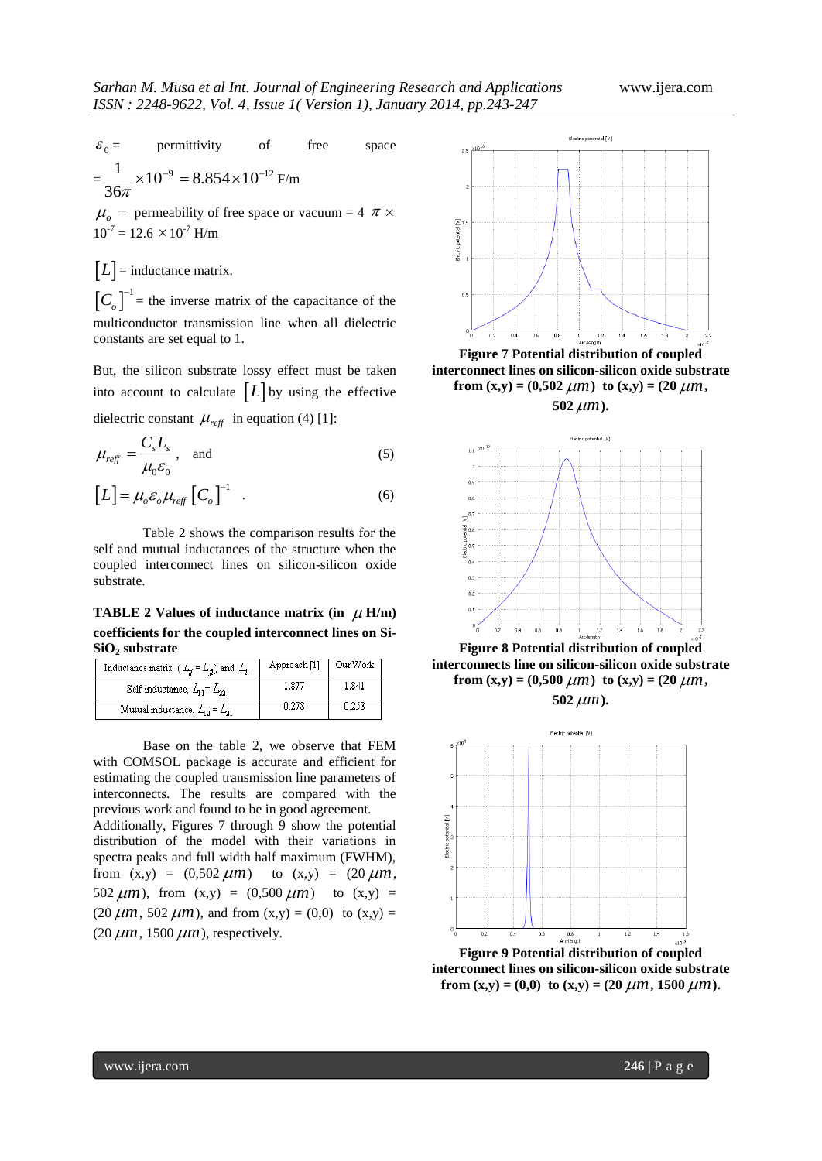${\varepsilon_{\text{\tiny 0}}}$ permittivity of free space  $=\frac{1}{2.1} \times 10^{-9} = 8.854 \times 10^{-12}$ 36  $\frac{1}{6\pi}$  × 10<sup>-9</sup> = 8.854 × 10<sup>-12</sup> F/m  $\mu_o$  = permeability of free space or vacuum = 4  $\pi$  ×  $10^{-7} = 12.6 \times 10^{-7}$  H/m

 $[L]$  = inductance matrix.  $\left[C_o\right]^{-1}$  = the inverse matrix of the capacitance of the multiconductor transmission line when all dielectric constants are set equal to 1.

But, the silicon substrate lossy effect must be taken into account to calculate  $[L]$  by using the effective dielectric constant  $\mu_{reff}$  in equation (4) [1]:

$$
\mu_{\text{reff}} = \frac{C_s L_s}{\mu_0 \varepsilon_0}, \quad \text{and} \tag{5}
$$

$$
\left[L\right] = \mu_o \varepsilon_o \mu_{\text{reff}} \left[C_o\right]^{-1} \quad . \tag{6}
$$

Table 2 shows the comparison results for the self and mutual inductances of the structure when the coupled interconnect lines on silicon-silicon oxide substrate.

**TABLE** 2 Values of inductance matrix (in  $\mu$  H/m) **coefficients for the coupled interconnect lines on Si-SiO<sup>2</sup> substrate**

| Inductance matrix ( $L_{ij} = L_{ji}$ ) and $L_{ij}$ | Approach [1]   Our Work |       |  |
|------------------------------------------------------|-------------------------|-------|--|
| Self inductance, $L_{11} = L_{22}$                   | L 875                   | 1.841 |  |
| Mutual inductance, $L_{12} = L_{21}$                 | 0.278                   | 0.253 |  |

Base on the table 2, we observe that FEM with COMSOL package is accurate and efficient for estimating the coupled transmission line parameters of interconnects. The results are compared with the previous work and found to be in good agreement. Additionally, Figures 7 through 9 show the potential distribution of the model with their variations in spectra peaks and full width half maximum (FWHM), from  $(x,y) = (0,502 \ \mu m)$  to  $(x,y) = (20 \ \mu m,$ 502  $\mu$ m), from (x,y) = (0,500  $\mu$ m) to (x,y) =  $(20 \ \mu m, 502 \ \mu m)$ , and from  $(x,y) = (0,0)$  to  $(x,y) =$  $(20 \ \mu m, 1500 \ \mu m)$ , respectively.



**Figure 7 Potential distribution of coupled interconnect lines on silicon-silicon oxide substrate**  from  $(x,y) = (0,502 \ \mu m)$  to  $(x,y) = (20 \ \mu m)$ ,  $502 \ \mu m$ ).



**Figure 8 Potential distribution of coupled interconnects line on silicon-silicon oxide substrate from**  $(x,y) = (0,500 \ \mu m)$  to  $(x,y) = (20 \ \mu m)$ ,  $502 \ \mu m$ ).



**Figure 9 Potential distribution of coupled interconnect lines on silicon-silicon oxide substrate from**  $(x,y) = (0,0)$  **to**  $(x,y) = (20 \ \mu m, 1500 \ \mu m)$ .